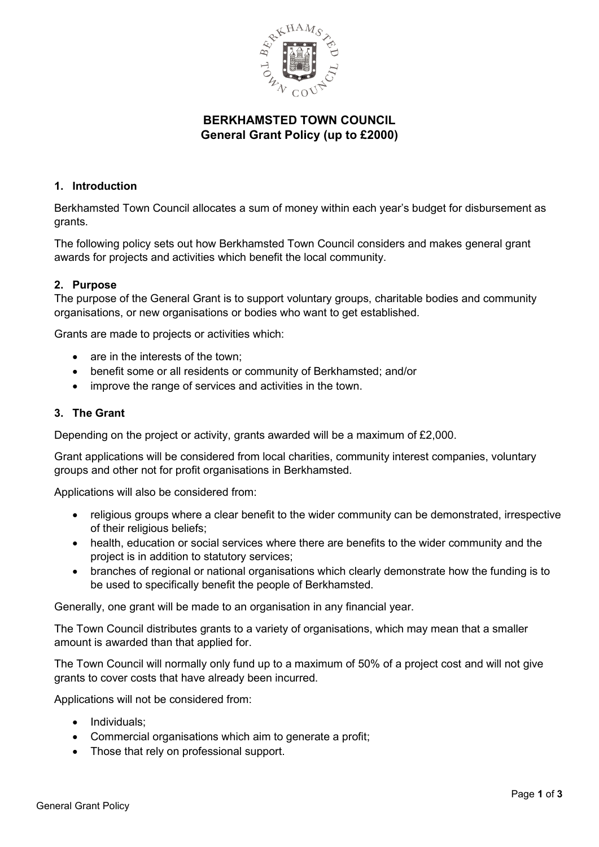

# **BERKHAMSTED TOWN COUNCIL General Grant Policy (up to £2000)**

## **1. Introduction**

Berkhamsted Town Council allocates a sum of money within each year's budget for disbursement as grants.

The following policy sets out how Berkhamsted Town Council considers and makes general grant awards for projects and activities which benefit the local community.

## **2. Purpose**

The purpose of the General Grant is to support voluntary groups, charitable bodies and community organisations, or new organisations or bodies who want to get established.

Grants are made to projects or activities which:

- are in the interests of the town;
- benefit some or all residents or community of Berkhamsted; and/or
- improve the range of services and activities in the town.

## **3. The Grant**

Depending on the project or activity, grants awarded will be a maximum of £2,000.

Grant applications will be considered from local charities, community interest companies, voluntary groups and other not for profit organisations in Berkhamsted.

Applications will also be considered from:

- religious groups where a clear benefit to the wider community can be demonstrated, irrespective of their religious beliefs;
- health, education or social services where there are benefits to the wider community and the project is in addition to statutory services;
- branches of regional or national organisations which clearly demonstrate how the funding is to be used to specifically benefit the people of Berkhamsted.

Generally, one grant will be made to an organisation in any financial year.

The Town Council distributes grants to a variety of organisations, which may mean that a smaller amount is awarded than that applied for.

The Town Council will normally only fund up to a maximum of 50% of a project cost and will not give grants to cover costs that have already been incurred.

Applications will not be considered from:

- Individuals:
- Commercial organisations which aim to generate a profit;
- Those that rely on professional support.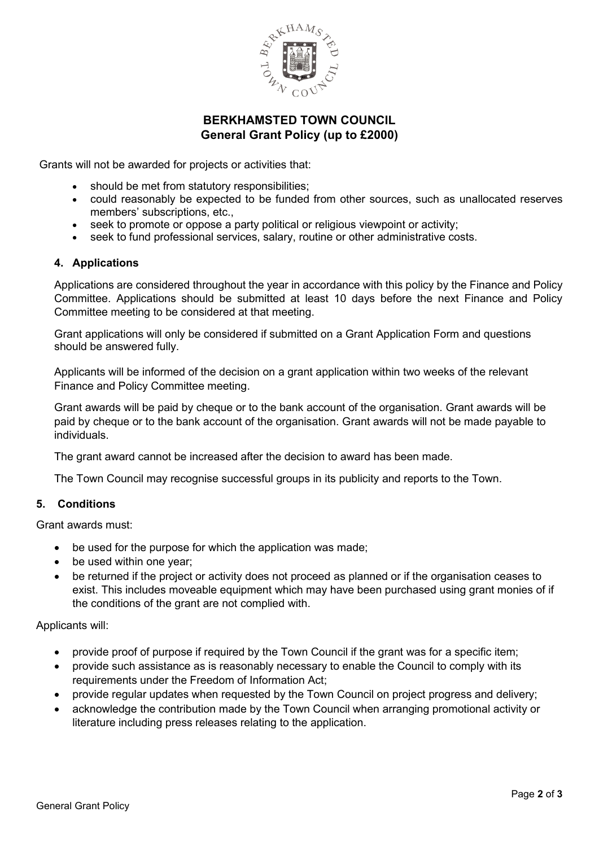

# **BERKHAMSTED TOWN COUNCIL General Grant Policy (up to £2000)**

Grants will not be awarded for projects or activities that:

- should be met from statutory responsibilities;
- could reasonably be expected to be funded from other sources, such as unallocated reserves members' subscriptions, etc.,
- seek to promote or oppose a party political or religious viewpoint or activity;
- seek to fund professional services, salary, routine or other administrative costs.

#### **4. Applications**

Applications are considered throughout the year in accordance with this policy by the Finance and Policy Committee. Applications should be submitted at least 10 days before the next Finance and Policy Committee meeting to be considered at that meeting.

Grant applications will only be considered if submitted on a Grant Application Form and questions should be answered fully.

Applicants will be informed of the decision on a grant application within two weeks of the relevant Finance and Policy Committee meeting.

Grant awards will be paid by cheque or to the bank account of the organisation. Grant awards will be paid by cheque or to the bank account of the organisation. Grant awards will not be made payable to individuals.

The grant award cannot be increased after the decision to award has been made.

The Town Council may recognise successful groups in its publicity and reports to the Town.

### **5. Conditions**

Grant awards must:

- be used for the purpose for which the application was made;
- be used within one year;
- be returned if the project or activity does not proceed as planned or if the organisation ceases to exist. This includes moveable equipment which may have been purchased using grant monies of if the conditions of the grant are not complied with.

#### Applicants will:

- provide proof of purpose if required by the Town Council if the grant was for a specific item;
- provide such assistance as is reasonably necessary to enable the Council to comply with its requirements under the Freedom of Information Act;
- provide regular updates when requested by the Town Council on project progress and delivery;
- acknowledge the contribution made by the Town Council when arranging promotional activity or literature including press releases relating to the application.